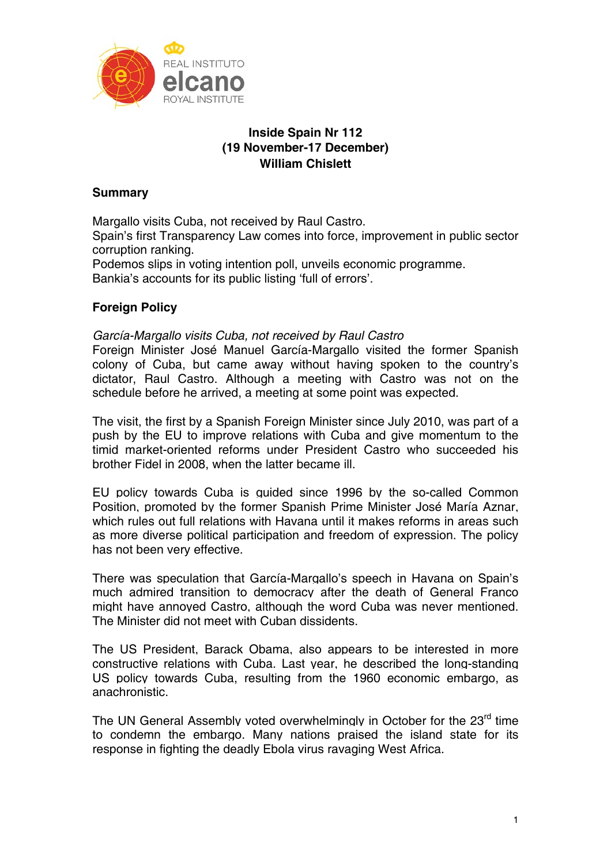

# **Inside Spain Nr 112 (19 November-17 December) William Chislett**

# **Summary**

Margallo visits Cuba, not received by Raul Castro. Spain's first Transparency Law comes into force, improvement in public sector corruption ranking.

Podemos slips in voting intention poll, unveils economic programme. Bankia's accounts for its public listing 'full of errors'.

# **Foreign Policy**

*García-Margallo visits Cuba, not received by Raul Castro* 

Foreign Minister José Manuel García-Margallo visited the former Spanish colony of Cuba, but came away without having spoken to the country's dictator, Raul Castro. Although a meeting with Castro was not on the schedule before he arrived, a meeting at some point was expected.

The visit, the first by a Spanish Foreign Minister since July 2010, was part of a push by the EU to improve relations with Cuba and give momentum to the timid market-oriented reforms under President Castro who succeeded his brother Fidel in 2008, when the latter became ill.

EU policy towards Cuba is guided since 1996 by the so-called Common Position, promoted by the former Spanish Prime Minister José María Aznar, which rules out full relations with Havana until it makes reforms in areas such as more diverse political participation and freedom of expression. The policy has not been very effective.

There was speculation that García-Margallo's speech in Havana on Spain's much admired transition to democracy after the death of General Franco might have annoyed Castro, although the word Cuba was never mentioned. The Minister did not meet with Cuban dissidents.

The US President, Barack Obama, also appears to be interested in more constructive relations with Cuba. Last year, he described the long-standing US policy towards Cuba, resulting from the 1960 economic embargo, as anachronistic.

The UN General Assembly voted overwhelmingly in October for the 23<sup>rd</sup> time to condemn the embargo. Many nations praised the island state for its response in fighting the deadly Ebola virus ravaging West Africa.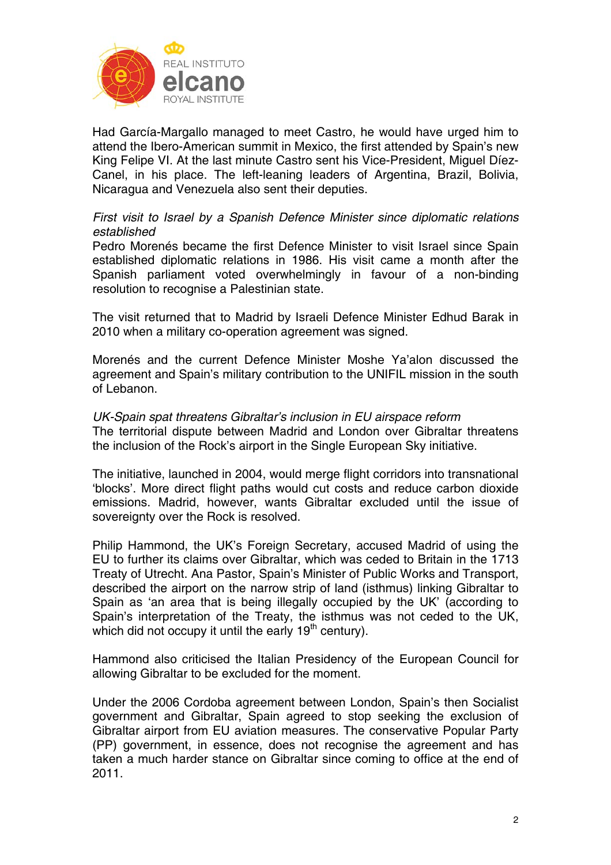

Had García-Margallo managed to meet Castro, he would have urged him to attend the Ibero-American summit in Mexico, the first attended by Spain's new King Felipe VI. At the last minute Castro sent his Vice-President, Miguel Díez-Canel, in his place. The left-leaning leaders of Argentina, Brazil, Bolivia, Nicaragua and Venezuela also sent their deputies.

# *First visit to Israel by a Spanish Defence Minister since diplomatic relations established*

Pedro Morenés became the first Defence Minister to visit Israel since Spain established diplomatic relations in 1986. His visit came a month after the Spanish parliament voted overwhelmingly in favour of a non-binding resolution to recognise a Palestinian state.

The visit returned that to Madrid by Israeli Defence Minister Edhud Barak in 2010 when a military co-operation agreement was signed.

Morenés and the current Defence Minister Moshe Ya'alon discussed the agreement and Spain's military contribution to the UNIFIL mission in the south of Lebanon.

## *UK-Spain spat threatens Gibraltar's inclusion in EU airspace reform*  The territorial dispute between Madrid and London over Gibraltar threatens the inclusion of the Rock's airport in the Single European Sky initiative.

The initiative, launched in 2004, would merge flight corridors into transnational 'blocks'. More direct flight paths would cut costs and reduce carbon dioxide emissions. Madrid, however, wants Gibraltar excluded until the issue of sovereignty over the Rock is resolved.

Philip Hammond, the UK's Foreign Secretary, accused Madrid of using the EU to further its claims over Gibraltar, which was ceded to Britain in the 1713 Treaty of Utrecht. Ana Pastor, Spain's Minister of Public Works and Transport, described the airport on the narrow strip of land (isthmus) linking Gibraltar to Spain as 'an area that is being illegally occupied by the UK' (according to Spain's interpretation of the Treaty, the isthmus was not ceded to the UK, which did not occupy it until the early  $19<sup>th</sup>$  century).

Hammond also criticised the Italian Presidency of the European Council for allowing Gibraltar to be excluded for the moment.

Under the 2006 Cordoba agreement between London, Spain's then Socialist government and Gibraltar, Spain agreed to stop seeking the exclusion of Gibraltar airport from EU aviation measures. The conservative Popular Party (PP) government, in essence, does not recognise the agreement and has taken a much harder stance on Gibraltar since coming to office at the end of 2011.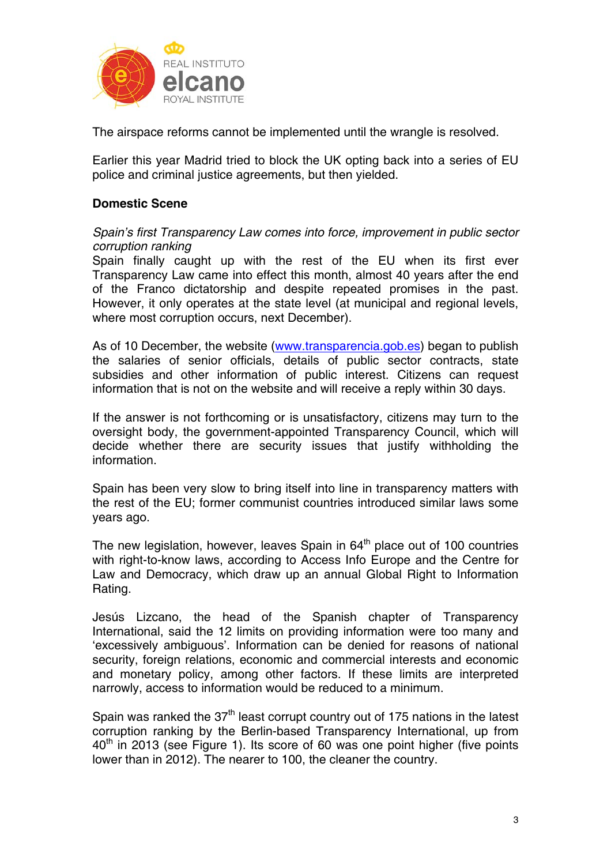

The airspace reforms cannot be implemented until the wrangle is resolved.

Earlier this year Madrid tried to block the UK opting back into a series of EU police and criminal justice agreements, but then yielded.

# **Domestic Scene**

*Spain's first Transparency Law comes into force, improvement in public sector corruption ranking* 

Spain finally caught up with the rest of the EU when its first ever Transparency Law came into effect this month, almost 40 years after the end of the Franco dictatorship and despite repeated promises in the past. However, it only operates at the state level (at municipal and regional levels, where most corruption occurs, next December).

As of 10 December, the website (www.transparencia.gob.es) began to publish the salaries of senior officials, details of public sector contracts, state subsidies and other information of public interest. Citizens can request information that is not on the website and will receive a reply within 30 days.

If the answer is not forthcoming or is unsatisfactory, citizens may turn to the oversight body, the government-appointed Transparency Council, which will decide whether there are security issues that justify withholding the information.

Spain has been very slow to bring itself into line in transparency matters with the rest of the EU; former communist countries introduced similar laws some years ago.

The new legislation, however, leaves Spain in  $64<sup>th</sup>$  place out of 100 countries with right-to-know laws, according to Access Info Europe and the Centre for Law and Democracy, which draw up an annual Global Right to Information Rating.

Jesús Lizcano, the head of the Spanish chapter of Transparency International, said the 12 limits on providing information were too many and 'excessively ambiguous'. Information can be denied for reasons of national security, foreign relations, economic and commercial interests and economic and monetary policy, among other factors. If these limits are interpreted narrowly, access to information would be reduced to a minimum.

Spain was ranked the  $37<sup>th</sup>$  least corrupt country out of 175 nations in the latest corruption ranking by the Berlin-based Transparency International, up from  $40<sup>th</sup>$  in 2013 (see Figure 1). Its score of 60 was one point higher (five points lower than in 2012). The nearer to 100, the cleaner the country.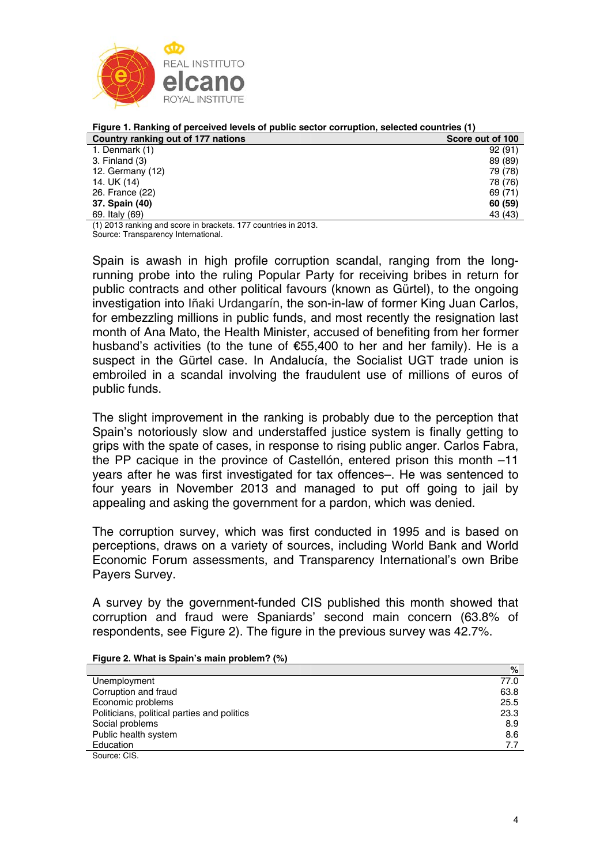

| <u>Figure 1. Nativiting of perceived levels of public sector corruption, selected countiles (1)</u> |                  |
|-----------------------------------------------------------------------------------------------------|------------------|
| Country ranking out of 177 nations                                                                  | Score out of 100 |
| 1. Denmark (1)                                                                                      | 92(91)           |
| 3. Finland (3)                                                                                      | 89 (89)          |
| 12. Germany $(12)$                                                                                  | 79 (78)          |
| 14. UK (14)                                                                                         | 78 (76)          |
| 26. France (22)                                                                                     | 69 (71)          |
| 37. Spain (40)                                                                                      | 60 (59)          |
| 69. Italy (69)                                                                                      | 43 (43)          |

**Figure 1. Ranking of perceived levels of public sector corruption, selected countries (1)** 

(1) 2013 ranking and score in brackets. 177 countries in 2013. Source: Transparency International.

Spain is awash in high profile corruption scandal, ranging from the longrunning probe into the ruling Popular Party for receiving bribes in return for public contracts and other political favours (known as Gürtel), to the ongoing investigation into Iñaki Urdangarín, the son-in-law of former King Juan Carlos, for embezzling millions in public funds, and most recently the resignation last month of Ana Mato, the Health Minister, accused of benefiting from her former husband's activities (to the tune of €55,400 to her and her family). He is a suspect in the Gürtel case. In Andalucía, the Socialist UGT trade union is embroiled in a scandal involving the fraudulent use of millions of euros of public funds.

The slight improvement in the ranking is probably due to the perception that Spain's notoriously slow and understaffed justice system is finally getting to grips with the spate of cases, in response to rising public anger. Carlos Fabra, the PP cacique in the province of Castellón, entered prison this month –11 years after he was first investigated for tax offences–. He was sentenced to four years in November 2013 and managed to put off going to jail by appealing and asking the government for a pardon, which was denied.

The corruption survey, which was first conducted in 1995 and is based on perceptions, draws on a variety of sources, including World Bank and World Economic Forum assessments, and Transparency International's own Bribe Payers Survey.

A survey by the government-funded CIS published this month showed that corruption and fraud were Spaniards' second main concern (63.8% of respondents, see Figure 2). The figure in the previous survey was 42.7%.

|  | Figure 2. What is Spain's main problem? (%) |  |
|--|---------------------------------------------|--|
|--|---------------------------------------------|--|

|                                             | %    |
|---------------------------------------------|------|
| Unemployment                                | 77.0 |
| Corruption and fraud                        | 63.8 |
| Economic problems                           | 25.5 |
| Politicians, political parties and politics | 23.3 |
| Social problems                             | 8.9  |
| Public health system                        | 8.6  |
| Education                                   | 7.7  |
| Source: CIS.                                |      |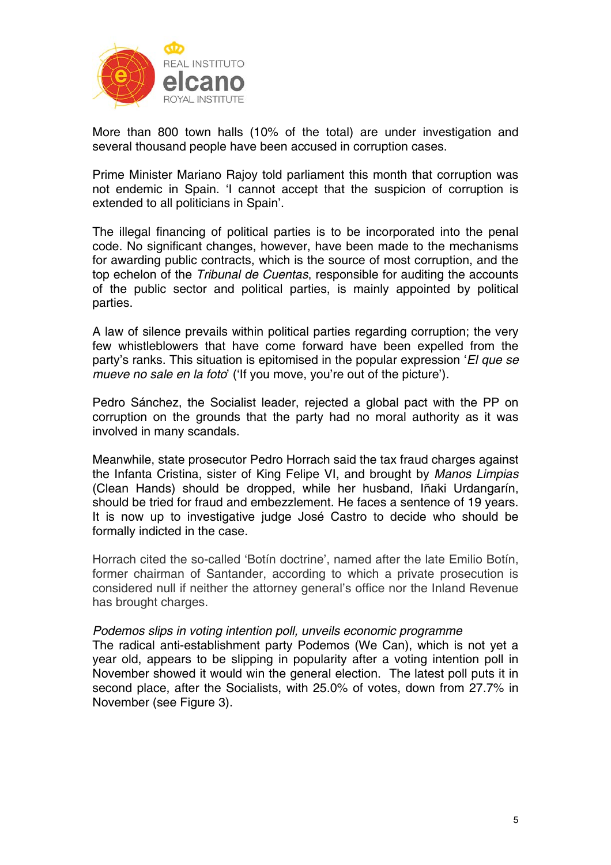

More than 800 town halls (10% of the total) are under investigation and several thousand people have been accused in corruption cases.

Prime Minister Mariano Rajoy told parliament this month that corruption was not endemic in Spain. 'I cannot accept that the suspicion of corruption is extended to all politicians in Spain'.

The illegal financing of political parties is to be incorporated into the penal code. No significant changes, however, have been made to the mechanisms for awarding public contracts, which is the source of most corruption, and the top echelon of the *Tribunal de Cuentas*, responsible for auditing the accounts of the public sector and political parties, is mainly appointed by political parties.

A law of silence prevails within political parties regarding corruption; the very few whistleblowers that have come forward have been expelled from the party's ranks. This situation is epitomised in the popular expression '*El que se mueve no sale en la foto*' ('If you move, you're out of the picture').

Pedro Sánchez, the Socialist leader, rejected a global pact with the PP on corruption on the grounds that the party had no moral authority as it was involved in many scandals.

Meanwhile, state prosecutor Pedro Horrach said the tax fraud charges against the Infanta Cristina, sister of King Felipe VI, and brought by *Manos Limpias* (Clean Hands) should be dropped, while her husband, Iñaki Urdangarín, should be tried for fraud and embezzlement. He faces a sentence of 19 years. It is now up to investigative judge José Castro to decide who should be formally indicted in the case.

Horrach cited the so-called 'Botín doctrine', named after the late Emilio Botín, former chairman of Santander, according to which a private prosecution is considered null if neither the attorney general's office nor the Inland Revenue has brought charges.

## *Podemos slips in voting intention poll, unveils economic programme*

The radical anti-establishment party Podemos (We Can), which is not yet a year old, appears to be slipping in popularity after a voting intention poll in November showed it would win the general election. The latest poll puts it in second place, after the Socialists, with 25.0% of votes, down from 27.7% in November (see Figure 3).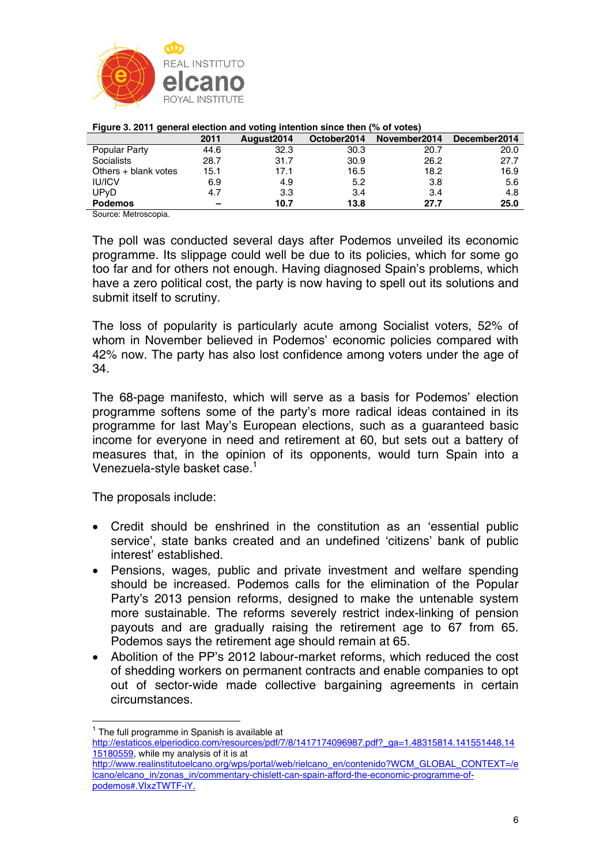

|                      | 2011 | August <sub>2014</sub> | October2014 | November2014 | December2014 |
|----------------------|------|------------------------|-------------|--------------|--------------|
| Popular Party        | 44.6 | 32.3                   | 30.3        | 20.7         | 20.0         |
| Socialists           | 28.7 | 31.7                   | 30.9        | 26.2         | 27.7         |
| Others + blank votes | 15.1 | 17.1                   | 16.5        | 18.2         | 16.9         |
| <b>IU/ICV</b>        | 6.9  | 4.9                    | 5.2         | 3.8          | 5.6          |
| UPvD                 | 4.7  | 3.3                    | 3.4         | 3.4          | 4.8          |
| <b>Podemos</b>       | -    | 10.7                   | 13.8        | 27.7         | 25.0         |
|                      |      |                        |             |              |              |

#### **Figure 3. 2011 general election and voting intention since then (% of votes)**

Source: Metroscopia.

The poll was conducted several days after Podemos unveiled its economic programme. Its slippage could well be due to its policies, which for some go too far and for others not enough. Having diagnosed Spain's problems, which have a zero political cost, the party is now having to spell out its solutions and submit itself to scrutiny.

The loss of popularity is particularly acute among Socialist voters, 52% of whom in November believed in Podemos' economic policies compared with 42% now. The party has also lost confidence among voters under the age of 34.

The 68-page manifesto, which will serve as a basis for Podemos' election programme softens some of the party's more radical ideas contained in its programme for last May's European elections, such as a guaranteed basic income for everyone in need and retirement at 60, but sets out a battery of measures that, in the opinion of its opponents, would turn Spain into a Venezuela-style basket case.<sup>1</sup>

The proposals include:

- Credit should be enshrined in the constitution as an 'essential public service', state banks created and an undefined 'citizens' bank of public interest' established.
- Pensions, wages, public and private investment and welfare spending should be increased. Podemos calls for the elimination of the Popular Party's 2013 pension reforms, designed to make the untenable system more sustainable. The reforms severely restrict index-linking of pension payouts and are gradually raising the retirement age to 67 from 65. Podemos says the retirement age should remain at 65.
- Abolition of the PP's 2012 labour-market reforms, which reduced the cost of shedding workers on permanent contracts and enable companies to opt out of sector-wide made collective bargaining agreements in certain circumstances.

 $\overline{a}$ 

http://www.realinstitutoelcano.org/wps/portal/web/rielcano\_en/contenido?WCM\_GLOBAL\_CONTEXT=/e lcano/elcano\_in/zonas\_in/commentary-chislett-can-spain-afford-the-economic-programme-ofpodemos#.VIxzTWTF-iY.

 $1$  The full programme in Spanish is available at

http://estaticos.elperiodico.com/resources/pdf/7/8/1417174096987.pdf?\_ga=1.48315814.141551448.14 15180559, while my analysis of it is at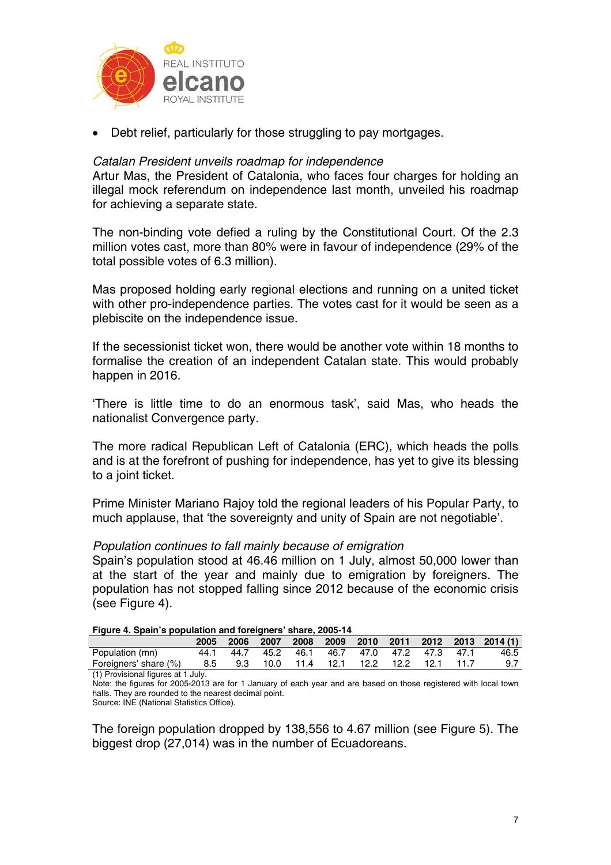

• Debt relief, particularly for those struggling to pay mortgages.

# *Catalan President unveils roadmap for independence*

Artur Mas, the President of Catalonia, who faces four charges for holding an illegal mock referendum on independence last month, unveiled his roadmap for achieving a separate state.

The non-binding vote defied a ruling by the Constitutional Court. Of the 2.3 million votes cast, more than 80% were in favour of independence (29% of the total possible votes of 6.3 million).

Mas proposed holding early regional elections and running on a united ticket with other pro-independence parties. The votes cast for it would be seen as a plebiscite on the independence issue.

If the secessionist ticket won, there would be another vote within 18 months to formalise the creation of an independent Catalan state. This would probably happen in 2016.

'There is little time to do an enormous task', said Mas, who heads the nationalist Convergence party.

The more radical Republican Left of Catalonia (ERC), which heads the polls and is at the forefront of pushing for independence, has yet to give its blessing to a joint ticket.

Prime Minister Mariano Rajoy told the regional leaders of his Popular Party, to much applause, that 'the sovereignty and unity of Spain are not negotiable'.

## *Population continues to fall mainly because of emigration*

Spain's population stood at 46.46 million on 1 July, almost 50,000 lower than at the start of the year and mainly due to emigration by foreigners. The population has not stopped falling since 2012 because of the economic crisis (see Figure 4).

|  |  | Figure 4. Spain's population and foreigners' share, 2005-14 |
|--|--|-------------------------------------------------------------|
|  |  |                                                             |

|                                    | 2005 | 2006 2007 |      | 2008 |                                   |  |      | 2009 2010 2011 2012 2013 2014 (1) |
|------------------------------------|------|-----------|------|------|-----------------------------------|--|------|-----------------------------------|
| Population (mn)                    | 44.1 | 44.7      | 45.2 |      | 46.1 46.7 47.0 47.2 47.3 47.1     |  |      | 46.5                              |
| Foreigners' share (%)              | 8.5  |           |      |      | 9.3 10.0 11.4 12.1 12.2 12.2 12.1 |  | 11.7 | 9.7                               |
| (1) Provisional figures at 1 July. |      |           |      |      |                                   |  |      |                                   |

Note: the figures for 2005-2013 are for 1 January of each year and are based on those registered with local town halls. They are rounded to the nearest decimal point. Source: INE (National Statistics Office).

The foreign population dropped by 138,556 to 4.67 million (see Figure 5). The biggest drop (27,014) was in the number of Ecuadoreans.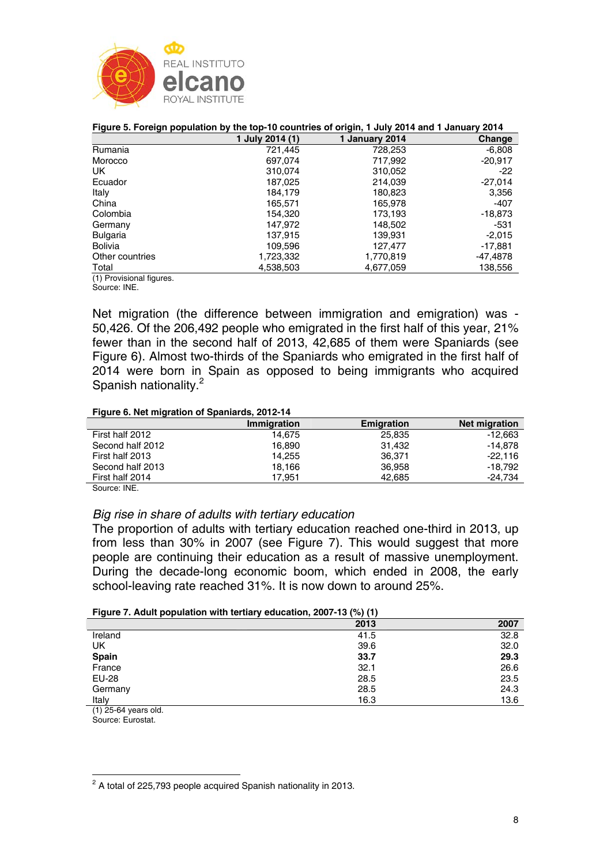

|                         |                 | Tigale 3. Foreign population by the top-To countries or origin, Toury 2014 and Toanuary 2014 |           |
|-------------------------|-----------------|----------------------------------------------------------------------------------------------|-----------|
|                         | 1 July 2014 (1) | 1 January 2014                                                                               | Change    |
| Rumania                 | 721,445         | 728,253                                                                                      | $-6.808$  |
| Morocco                 | 697.074         | 717,992                                                                                      | $-20,917$ |
| UK.                     | 310,074         | 310,052                                                                                      | $-22$     |
| Ecuador                 | 187,025         | 214,039                                                                                      | $-27,014$ |
| Italy                   | 184.179         | 180,823                                                                                      | 3,356     |
| China                   | 165,571         | 165,978                                                                                      | $-407$    |
| Colombia                | 154.320         | 173,193                                                                                      | $-18,873$ |
| Germany                 | 147.972         | 148,502                                                                                      | -531      |
| <b>Bulgaria</b>         | 137,915         | 139,931                                                                                      | $-2,015$  |
| <b>Bolivia</b>          | 109.596         | 127.477                                                                                      | -17.881   |
| Other countries         | 1,723,332       | 1,770,819                                                                                    | -47,4878  |
| Total                   | 4,538,503       | 4,677,059                                                                                    | 138,556   |
| (1) Provisional figures |                 |                                                                                              |           |

#### **Figure 5. Foreign population by the top-10 countries of origin, 1 July 2014 and 1 January 2014**

(1) Provisional figures.

Source: INE.

Net migration (the difference between immigration and emigration) was - 50,426. Of the 206,492 people who emigrated in the first half of this year, 21% fewer than in the second half of 2013, 42,685 of them were Spaniards (see Figure 6). Almost two-thirds of the Spaniards who emigrated in the first half of 2014 were born in Spain as opposed to being immigrants who acquired Spanish nationality.<sup>2</sup>

#### **Figure 6. Net migration of Spaniards, 2012-14**

|                  | <b>Immigration</b> | <b>Emigration</b> | <b>Net migration</b> |
|------------------|--------------------|-------------------|----------------------|
| First half 2012  | 14.675             | 25,835            | $-12.663$            |
| Second half 2012 | 16.890             | 31.432            | $-14.878$            |
| First half 2013  | 14.255             | 36.371            | $-22.116$            |
| Second half 2013 | 18.166             | 36,958            | $-18.792$            |
| First half 2014  | 17.951             | 42.685            | $-24.734$            |
|                  |                    |                   |                      |

Source: INE.

## *Big rise in share of adults with tertiary education*

The proportion of adults with tertiary education reached one-third in 2013, up from less than 30% in 2007 (see Figure 7). This would suggest that more people are continuing their education as a result of massive unemployment. During the decade-long economic boom, which ended in 2008, the early school-leaving rate reached 31%. It is now down to around 25%.

| Figure 7. Adult population with tertiary education, 2007-13 (%) (1) |  |  |  |
|---------------------------------------------------------------------|--|--|--|
|---------------------------------------------------------------------|--|--|--|

|                                   | 2013 | 2007 |
|-----------------------------------|------|------|
| Ireland                           | 41.5 | 32.8 |
| UK                                | 39.6 | 32.0 |
| Spain                             | 33.7 | 29.3 |
| France                            | 32.1 | 26.6 |
| EU-28                             | 28.5 | 23.5 |
| Germany                           | 28.5 | 24.3 |
| Italy                             | 16.3 | 13.6 |
| $\cdots$ $\cdots$ $\cdots$<br>. . |      |      |

(1) 25-64 years old.

Source: Eurostat.

 $\overline{a}$  $2$  A total of 225,793 people acquired Spanish nationality in 2013.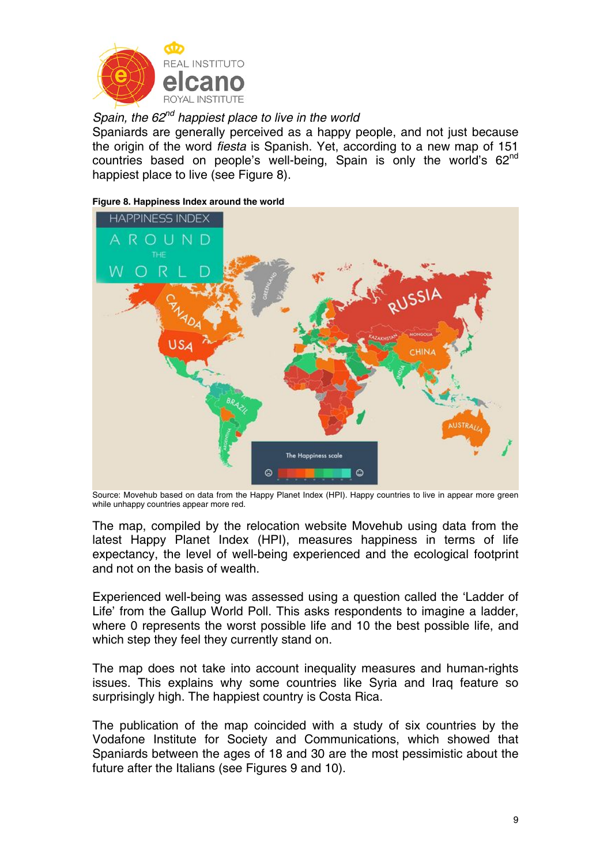

*Spain, the 62<sup>nd</sup> happiest place to live in the world* 

Spaniards are generally perceived as a happy people, and not just because the origin of the word *fiesta* is Spanish. Yet, according to a new map of 151 countries based on people's well-being. Spain is only the world's  $62<sup>nd</sup>$ happiest place to live (see Figure 8).

#### **Figure 8. Happiness Index around the world**



Source: Movehub based on data from the Happy Planet Index (HPI). Happy countries to live in appear more green while unhappy countries appear more red.

The map, compiled by the relocation website Movehub using data from the latest Happy Planet Index (HPI), measures happiness in terms of life expectancy, the level of well-being experienced and the ecological footprint and not on the basis of wealth.

Experienced well-being was assessed using a question called the 'Ladder of Life' from the Gallup World Poll. This asks respondents to imagine a ladder, where 0 represents the worst possible life and 10 the best possible life, and which step they feel they currently stand on.

The map does not take into account inequality measures and human-rights issues. This explains why some countries like Syria and Iraq feature so surprisingly high. The happiest country is Costa Rica.

The publication of the map coincided with a study of six countries by the Vodafone Institute for Society and Communications, which showed that Spaniards between the ages of 18 and 30 are the most pessimistic about the future after the Italians (see Figures 9 and 10).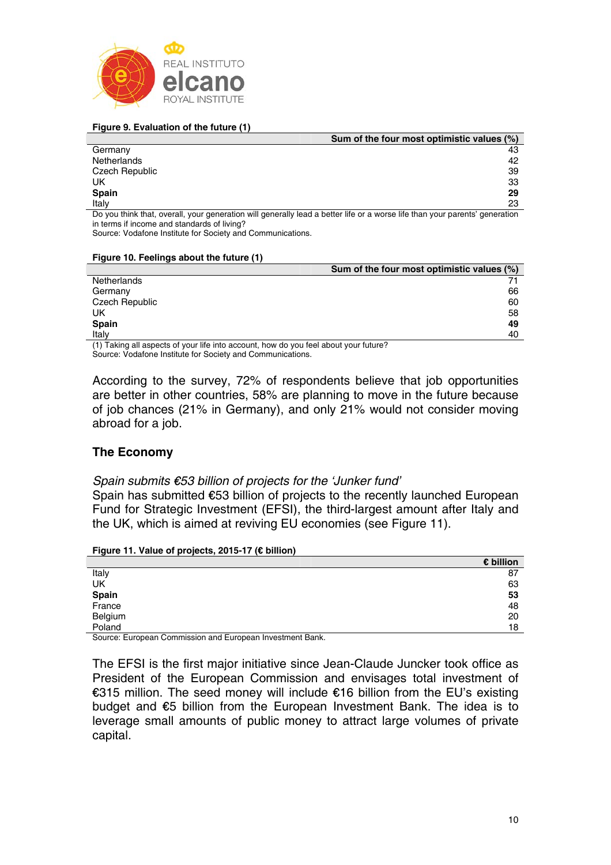

#### **Figure 9. Evaluation of the future (1)**

|                | Sum of the four most optimistic values (%)                                                                               |
|----------------|--------------------------------------------------------------------------------------------------------------------------|
| Germany        | 43                                                                                                                       |
| Netherlands    | 42                                                                                                                       |
| Czech Republic | 39                                                                                                                       |
| UK             | 33                                                                                                                       |
| Spain          | 29                                                                                                                       |
| Italy          | 23                                                                                                                       |
|                | . De unu think that in unu unu sensyation will venovally lood a hotter life or a waren life than your normal changestian |

Do you think that, overall, your generation will generally lead a better life or a worse life than your parents' generation in terms if income and standards of living?

Source: Vodafone Institute for Society and Communications.

#### **Figure 10. Feelings about the future (1)**

|                                                                                         | Sum of the four most optimistic values (%) |
|-----------------------------------------------------------------------------------------|--------------------------------------------|
| Netherlands                                                                             |                                            |
| Germany                                                                                 | 66                                         |
| Czech Republic                                                                          | 60                                         |
| UK                                                                                      | 58                                         |
| Spain                                                                                   | 49                                         |
| Italv                                                                                   | 40                                         |
| Caudina all penesso et unu life inte account hou de usu feel about usus future $\Omega$ |                                            |

(1) Taking all aspects of your life into account, how do you feel about your future? Source: Vodafone Institute for Society and Communications.

According to the survey, 72% of respondents believe that job opportunities are better in other countries, 58% are planning to move in the future because of job chances (21% in Germany), and only 21% would not consider moving abroad for a job.

## **The Economy**

## *Spain submits €53 billion of projects for the 'Junker fund'*

Spain has submitted €53 billion of projects to the recently launched European Fund for Strategic Investment (EFSI), the third-largest amount after Italy and the UK, which is aimed at reviving EU economies (see Figure 11).

|  | Figure 11. Value of projects, 2015-17 (€ billion) |  |  |  |
|--|---------------------------------------------------|--|--|--|
|--|---------------------------------------------------|--|--|--|

|                        | € billion |
|------------------------|-----------|
| Italy                  | 87        |
| UK                     | 63        |
| <b>Spain</b><br>France | 53        |
|                        | 48        |
| Belgium                | 20        |
| Poland                 | 18        |

Source: European Commission and European Investment Bank.

The EFSI is the first major initiative since Jean-Claude Juncker took office as President of the European Commission and envisages total investment of €315 million. The seed money will include €16 billion from the EU's existing budget and €5 billion from the European Investment Bank. The idea is to leverage small amounts of public money to attract large volumes of private capital.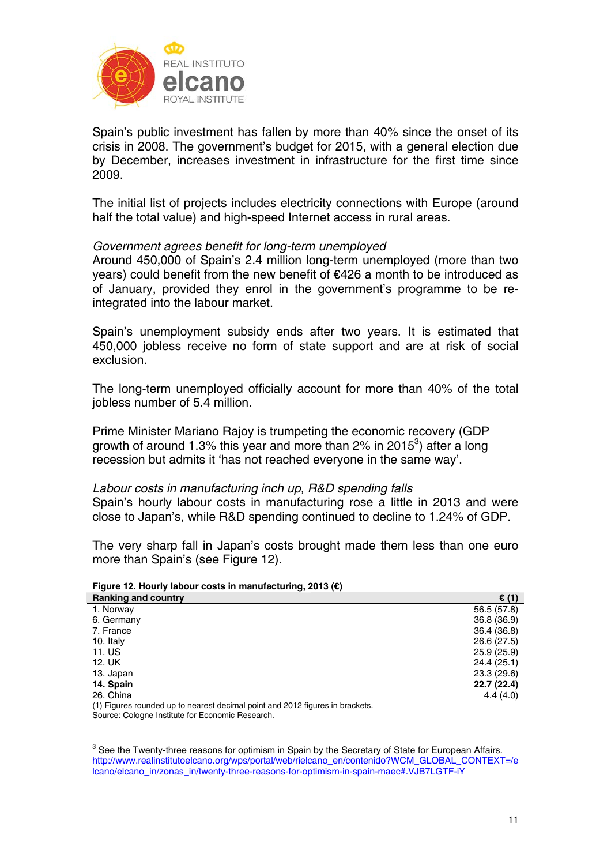

Spain's public investment has fallen by more than 40% since the onset of its crisis in 2008. The government's budget for 2015, with a general election due by December, increases investment in infrastructure for the first time since 2009.

The initial list of projects includes electricity connections with Europe (around half the total value) and high-speed Internet access in rural areas.

## *Government agrees benefit for long-term unemployed*

Around 450,000 of Spain's 2.4 million long-term unemployed (more than two years) could benefit from the new benefit of €426 a month to be introduced as of January, provided they enrol in the government's programme to be reintegrated into the labour market.

Spain's unemployment subsidy ends after two years. It is estimated that 450,000 jobless receive no form of state support and are at risk of social exclusion.

The long-term unemployed officially account for more than 40% of the total jobless number of 5.4 million.

Prime Minister Mariano Rajoy is trumpeting the economic recovery (GDP growth of around 1.3% this year and more than 2% in 2015 $3$ ) after a long recession but admits it 'has not reached everyone in the same way'.

*Labour costs in manufacturing inch up, R&D spending falls*  Spain's hourly labour costs in manufacturing rose a little in 2013 and were close to Japan's, while R&D spending continued to decline to 1.24% of GDP.

The very sharp fall in Japan's costs brought made them less than one euro more than Spain's (see Figure 12).

| <b>Ranking and country</b> | $\epsilon$ (1) |
|----------------------------|----------------|
| 1. Norway                  | 56.5 (57.8)    |
| 6. Germany                 | 36.8 (36.9)    |
| 7. France                  | 36.4 (36.8)    |
| 10. Italy                  | 26.6 (27.5)    |
| 11. US                     | 25.9(25.9)     |
| 12. UK                     | 24.4 (25.1)    |
| 13. Japan                  | 23.3 (29.6)    |
| 14. Spain                  | 22.7(22.4)     |
| 26. China                  | 4.4(4.0)       |

**Figure 12. Hourly labour costs in manufacturing, 2013 (€)** 

(1) Figures rounded up to nearest decimal point and 2012 figures in brackets. Source: Cologne Institute for Economic Research.

**EXECTS 2018**<br><sup>3</sup> See the Twenty-three reasons for optimism in Spain by the Secretary of State for European Affairs. http://www.realinstitutoelcano.org/wps/portal/web/rielcano\_en/contenido?WCM\_GLOBAL\_CONTEXT=/e lcano/elcano\_in/zonas\_in/twenty-three-reasons-for-optimism-in-spain-maec#.VJB7LGTF-iY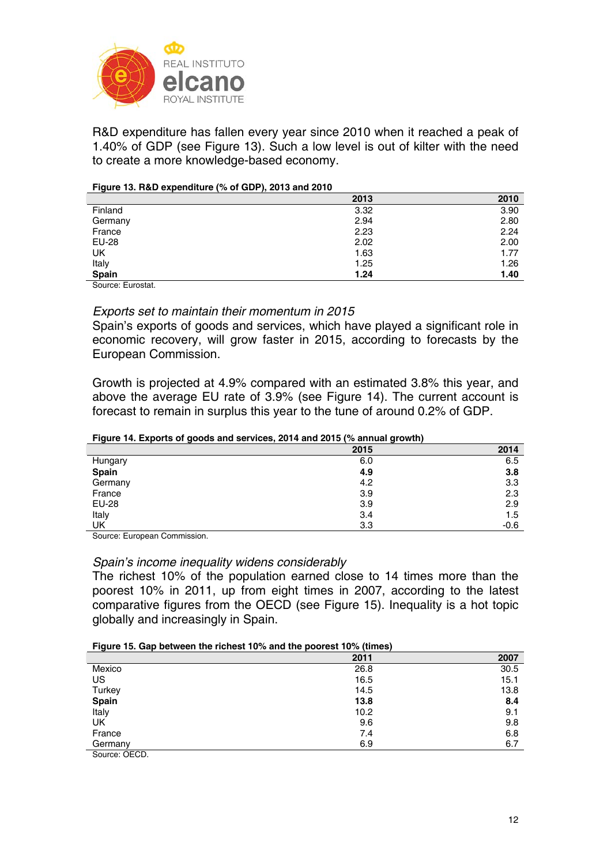

R&D expenditure has fallen every year since 2010 when it reached a peak of 1.40% of GDP (see Figure 13). Such a low level is out of kilter with the need to create a more knowledge-based economy.

#### **Figure 13. R&D expenditure (% of GDP), 2013 and 2010**

|                             | 2013 | 2010 |
|-----------------------------|------|------|
| Finland                     | 3.32 | 3.90 |
| Germany                     | 2.94 | 2.80 |
| France                      | 2.23 | 2.24 |
| EU-28                       | 2.02 | 2.00 |
| UK                          | 1.63 | 1.77 |
| Italy                       | 1.25 | 1.26 |
| Spain                       | 1.24 | 1.40 |
| $\sim$ $\sim$ $\sim$ $\sim$ |      |      |

Source: Eurostat.

#### *Exports set to maintain their momentum in 2015*

Spain's exports of goods and services, which have played a significant role in economic recovery, will grow faster in 2015, according to forecasts by the European Commission.

Growth is projected at 4.9% compared with an estimated 3.8% this year, and above the average EU rate of 3.9% (see Figure 14). The current account is forecast to remain in surplus this year to the tune of around 0.2% of GDP.

#### **Figure 14. Exports of goods and services, 2014 and 2015 (% annual growth)**

|         | 2015 | 2014   |
|---------|------|--------|
| Hungary | 6.0  | 6.5    |
| Spain   | 4.9  | 3.8    |
| Germany | 4.2  | 3.3    |
| France  | 3.9  | 2.3    |
| EU-28   | 3.9  | 2.9    |
| Italy   | 3.4  | 1.5    |
| UK      | 3.3  | $-0.6$ |

Source: European Commission.

## *Spain's income inequality widens considerably*

The richest 10% of the population earned close to 14 times more than the poorest 10% in 2011, up from eight times in 2007, according to the latest comparative figures from the OECD (see Figure 15). Inequality is a hot topic globally and increasingly in Spain.

#### **Figure 15. Gap between the richest 10% and the poorest 10% (times)**

|               | 2011 | 2007 |
|---------------|------|------|
| Mexico        | 26.8 | 30.5 |
| US            | 16.5 | 15.1 |
| Turkey        | 14.5 | 13.8 |
| Spain         | 13.8 | 8.4  |
| Italy         | 10.2 | 9.1  |
| UK            | 9.6  | 9.8  |
| France        | 7.4  | 6.8  |
| Germany       | 6.9  | 6.7  |
| Source: OECD. |      |      |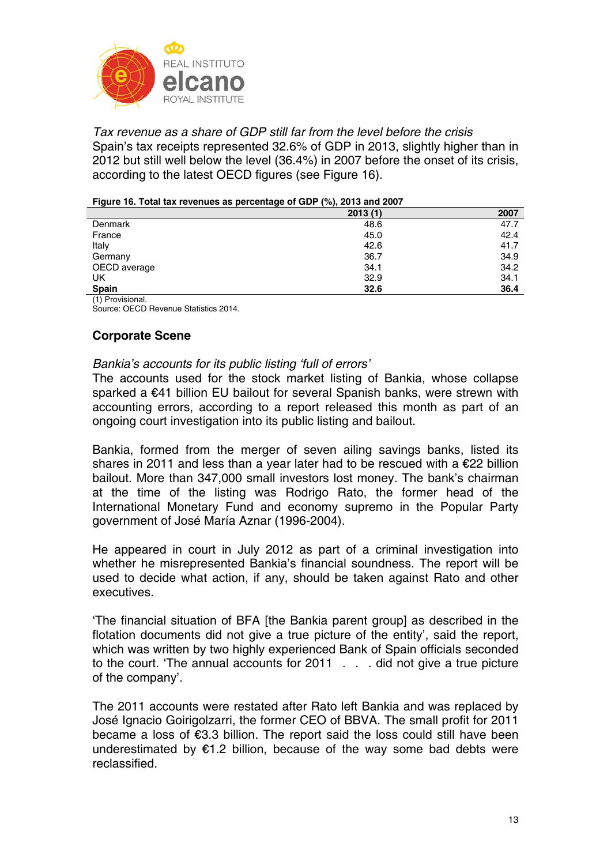

*Tax revenue as a share of GDP still far from the level before the crisis*  Spain's tax receipts represented 32.6% of GDP in 2013, slightly higher than in 2012 but still well below the level (36.4%) in 2007 before the onset of its crisis, according to the latest OECD figures (see Figure 16).

| -                | $\overline{\phantom{a}}$ |      |
|------------------|--------------------------|------|
|                  | 2013(1)                  | 2007 |
| Denmark          | 48.6                     | 47.7 |
| France           | 45.0                     | 42.4 |
| Italy            | 42.6                     | 41.7 |
| Germany          | 36.7                     | 34.9 |
| OECD average     | 34.1                     | 34.2 |
| UK               | 32.9                     | 34.1 |
| <b>Spain</b>     | 32.6                     | 36.4 |
| (1) Provisional. |                          |      |

#### **Figure 16. Total tax revenues as percentage of GDP (%), 2013 and 2007**

Source: OECD Revenue Statistics 2014.

# **Corporate Scene**

## *Bankia's accounts for its public listing 'full of errors'*

The accounts used for the stock market listing of Bankia, whose collapse sparked a €41 billion EU bailout for several Spanish banks, were strewn with accounting errors, according to a report released this month as part of an ongoing court investigation into its public listing and bailout.

Bankia, formed from the merger of seven ailing savings banks, listed its shares in 2011 and less than a year later had to be rescued with a €22 billion bailout. More than 347,000 small investors lost money. The bank's chairman at the time of the listing was Rodrigo Rato, the former head of the International Monetary Fund and economy supremo in the Popular Party government of José María Aznar (1996-2004).

He appeared in court in July 2012 as part of a criminal investigation into whether he misrepresented Bankia's financial soundness. The report will be used to decide what action, if any, should be taken against Rato and other executives.

'The financial situation of BFA [the Bankia parent group] as described in the flotation documents did not give a true picture of the entity', said the report, which was written by two highly experienced Bank of Spain officials seconded to the court. 'The annual accounts for 2011 . . . did not give a true picture of the company'.

The 2011 accounts were restated after Rato left Bankia and was replaced by José Ignacio Goirigolzarri, the former CEO of BBVA. The small profit for 2011 became a loss of €3.3 billion. The report said the loss could still have been underestimated by €1.2 billion, because of the way some bad debts were reclassified.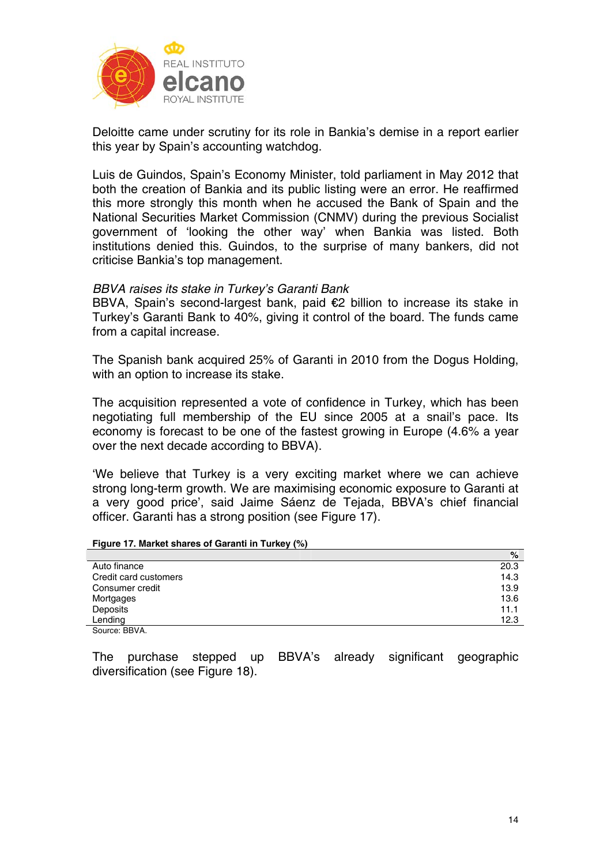

Deloitte came under scrutiny for its role in Bankia's demise in a report earlier this year by Spain's accounting watchdog.

Luis de Guindos, Spain's Economy Minister, told parliament in May 2012 that both the creation of Bankia and its public listing were an error. He reaffirmed this more strongly this month when he accused the Bank of Spain and the National Securities Market Commission (CNMV) during the previous Socialist government of 'looking the other way' when Bankia was listed. Both institutions denied this. Guindos, to the surprise of many bankers, did not criticise Bankia's top management.

## *BBVA raises its stake in Turkey's Garanti Bank*

BBVA, Spain's second-largest bank, paid €2 billion to increase its stake in Turkey's Garanti Bank to 40%, giving it control of the board. The funds came from a capital increase.

The Spanish bank acquired 25% of Garanti in 2010 from the Dogus Holding, with an option to increase its stake.

The acquisition represented a vote of confidence in Turkey, which has been negotiating full membership of the EU since 2005 at a snail's pace. Its economy is forecast to be one of the fastest growing in Europe (4.6% a year over the next decade according to BBVA).

'We believe that Turkey is a very exciting market where we can achieve strong long-term growth. We are maximising economic exposure to Garanti at a very good price', said Jaime Sáenz de Tejada, BBVA's chief financial officer. Garanti has a strong position (see Figure 17).

**Figure 17. Market shares of Garanti in Turkey (%)** 

|                       | $\%$ |
|-----------------------|------|
| Auto finance          | 20.3 |
| Credit card customers | 14.3 |
| Consumer credit       | 13.9 |
| Mortgages             | 13.6 |
| Deposits              | 11.1 |
| Lending               | 12.3 |
| Source: BBVA.         |      |

The purchase stepped up BBVA's already significant geographic diversification (see Figure 18).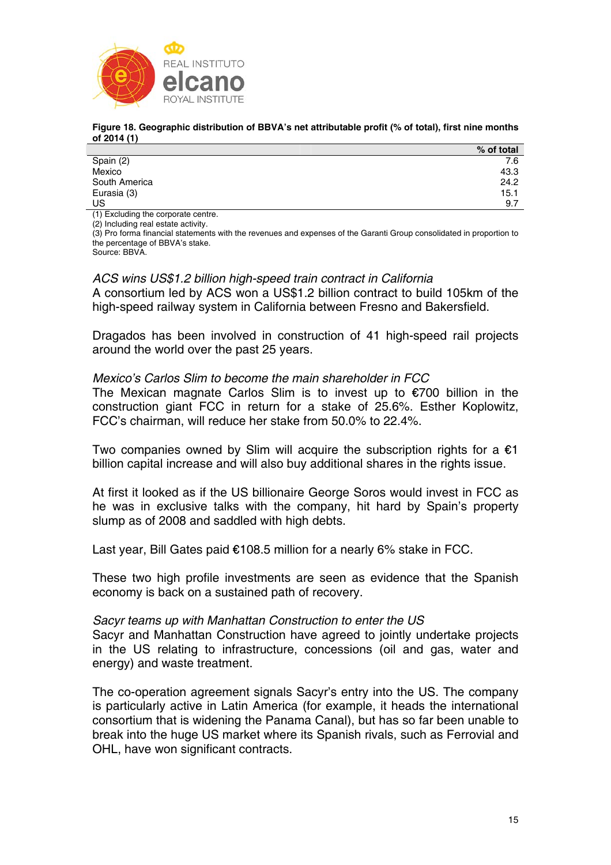

#### **Figure 18. Geographic distribution of BBVA's net attributable profit (% of total), first nine months of 2014 (1)**

|               | % of total |
|---------------|------------|
| Spain (2)     | 7.6        |
| Mexico        | 43.3       |
| South America | 24.2       |
| Eurasia (3)   | 15.1       |
| US            | 9.7        |

(1) Excluding the corporate centre.

(2) Including real estate activity.

(3) Pro forma financial statements with the revenues and expenses of the Garanti Group consolidated in proportion to the percentage of BBVA's stake.

Source: BBVA.

## *ACS wins US\$1.2 billion high-speed train contract in California*

A consortium led by ACS won a US\$1.2 billion contract to build 105km of the high-speed railway system in California between Fresno and Bakersfield.

Dragados has been involved in construction of 41 high-speed rail projects around the world over the past 25 years.

# *Mexico's Carlos Slim to become the main shareholder in FCC*

The Mexican magnate Carlos Slim is to invest up to  $\epsilon$ 700 billion in the construction giant FCC in return for a stake of 25.6%. Esther Koplowitz, FCC's chairman, will reduce her stake from 50.0% to 22.4%.

Two companies owned by Slim will acquire the subscription rights for a  $\epsilon$ 1 billion capital increase and will also buy additional shares in the rights issue.

At first it looked as if the US billionaire George Soros would invest in FCC as he was in exclusive talks with the company, hit hard by Spain's property slump as of 2008 and saddled with high debts.

Last year, Bill Gates paid €108.5 million for a nearly 6% stake in FCC.

These two high profile investments are seen as evidence that the Spanish economy is back on a sustained path of recovery.

## *Sacyr teams up with Manhattan Construction to enter the US*

Sacyr and Manhattan Construction have agreed to jointly undertake projects in the US relating to infrastructure, concessions (oil and gas, water and energy) and waste treatment.

The co-operation agreement signals Sacyr's entry into the US. The company is particularly active in Latin America (for example, it heads the international consortium that is widening the Panama Canal), but has so far been unable to break into the huge US market where its Spanish rivals, such as Ferrovial and OHL, have won significant contracts.